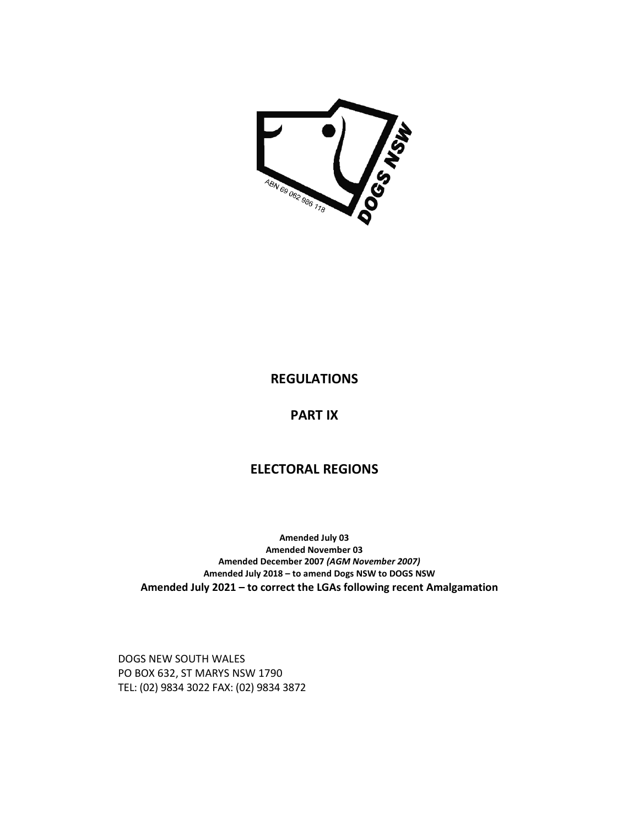

## **REGULATIONS**

**PART IX** 

## **ELECTORAL REGIONS**

**Amended July 03 Amended November 03 Amended December 2007** *(AGM November 2007)*  **Amended July 2018 – to amend Dogs NSW to DOGS NSW Amended July 2021 – to correct the LGAs following recent Amalgamation** 

DOGS NEW SOUTH WALES PO BOX 632, ST MARYS NSW 1790 TEL: (02) 9834 3022 FAX: (02) 9834 3872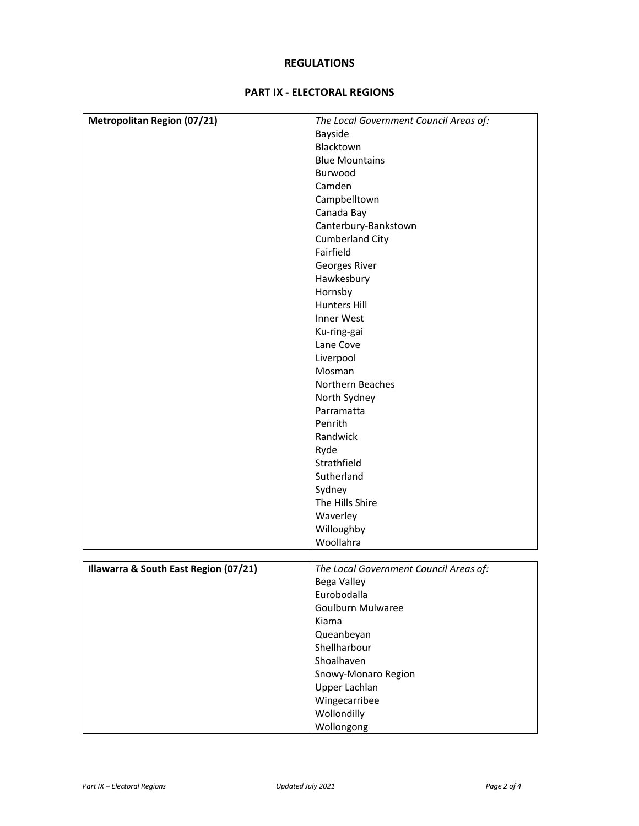## **REGULATIONS**

## **PART IX - ELECTORAL REGIONS**

| <b>Metropolitan Region (07/21)</b>    | The Local Government Council Areas of: |
|---------------------------------------|----------------------------------------|
|                                       | Bayside                                |
|                                       | Blacktown                              |
|                                       | <b>Blue Mountains</b>                  |
|                                       | Burwood                                |
|                                       | Camden                                 |
|                                       | Campbelltown                           |
|                                       | Canada Bay                             |
|                                       | Canterbury-Bankstown                   |
|                                       | Cumberland City                        |
|                                       | Fairfield                              |
|                                       | Georges River                          |
|                                       | Hawkesbury                             |
|                                       |                                        |
|                                       | Hornsby                                |
|                                       | <b>Hunters Hill</b>                    |
|                                       | Inner West                             |
|                                       | Ku-ring-gai                            |
|                                       | Lane Cove                              |
|                                       | Liverpool                              |
|                                       | Mosman                                 |
|                                       | Northern Beaches                       |
|                                       | North Sydney                           |
|                                       | Parramatta                             |
|                                       | Penrith                                |
|                                       | Randwick                               |
|                                       | Ryde                                   |
|                                       | Strathfield                            |
|                                       | Sutherland                             |
|                                       | Sydney                                 |
|                                       | The Hills Shire                        |
|                                       |                                        |
|                                       | Waverley                               |
|                                       | Willoughby                             |
|                                       | Woollahra                              |
|                                       |                                        |
| Illawarra & South East Region (07/21) | The Local Government Council Areas of: |
|                                       | Bega Valley                            |
|                                       | Eurobodalla                            |
|                                       | Goulburn Mulwaree                      |
|                                       | Kiama                                  |
|                                       | Queanbeyan                             |
|                                       | Shellharbour                           |
|                                       | Shoalhaven                             |
|                                       | Snowy-Monaro Region                    |
|                                       | Upper Lachlan                          |
|                                       | Wingecarribee                          |
|                                       | Wollondilly                            |
|                                       | Wollongong                             |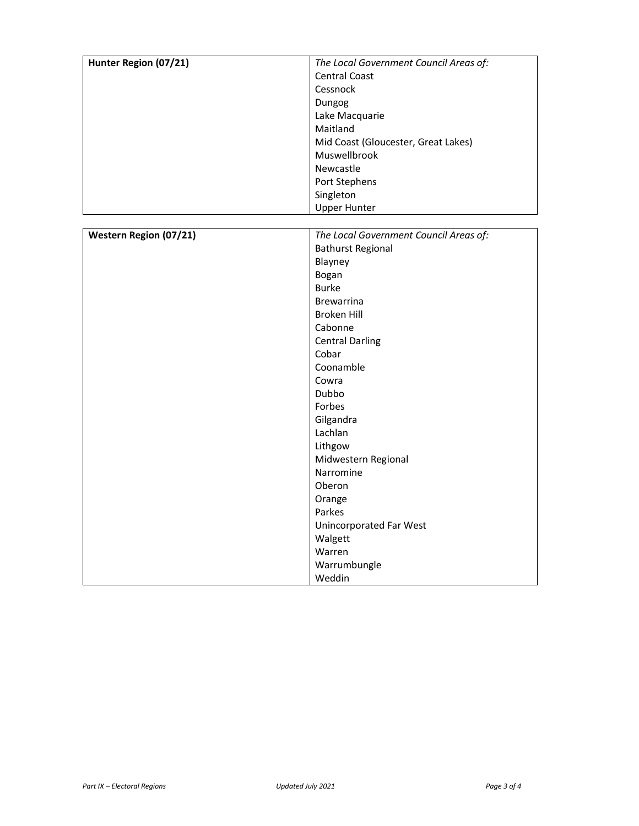| Hunter Region (07/21)         | The Local Government Council Areas of: |
|-------------------------------|----------------------------------------|
|                               | Central Coast                          |
|                               | Cessnock                               |
|                               | Dungog                                 |
|                               | Lake Macquarie                         |
|                               | Maitland                               |
|                               | Mid Coast (Gloucester, Great Lakes)    |
|                               | Muswellbrook                           |
|                               | Newcastle                              |
|                               | Port Stephens                          |
|                               | Singleton                              |
|                               | <b>Upper Hunter</b>                    |
|                               |                                        |
| <b>Western Region (07/21)</b> | The Local Government Council Areas of: |
|                               | <b>Bathurst Regional</b>               |
|                               | Blayney                                |
|                               | Bogan                                  |
|                               | <b>Burke</b>                           |
|                               | <b>Brewarrina</b>                      |
|                               | <b>Broken Hill</b>                     |
|                               | Cabonne                                |
|                               | <b>Central Darling</b>                 |
|                               | Cobar                                  |
|                               | Coonamble                              |
|                               | Cowra                                  |
|                               | Dubbo                                  |
|                               | Forbes                                 |
|                               | Gilgandra                              |
|                               | Lachlan                                |
|                               | Lithgow                                |
|                               | Midwestern Regional                    |
|                               | Narromine                              |
|                               | Oberon                                 |
|                               | Orange                                 |
|                               | Parkes                                 |
|                               | Unincorporated Far West                |
|                               | Walgett                                |
|                               | Warren                                 |
|                               | Warrumbungle                           |
|                               | Weddin                                 |